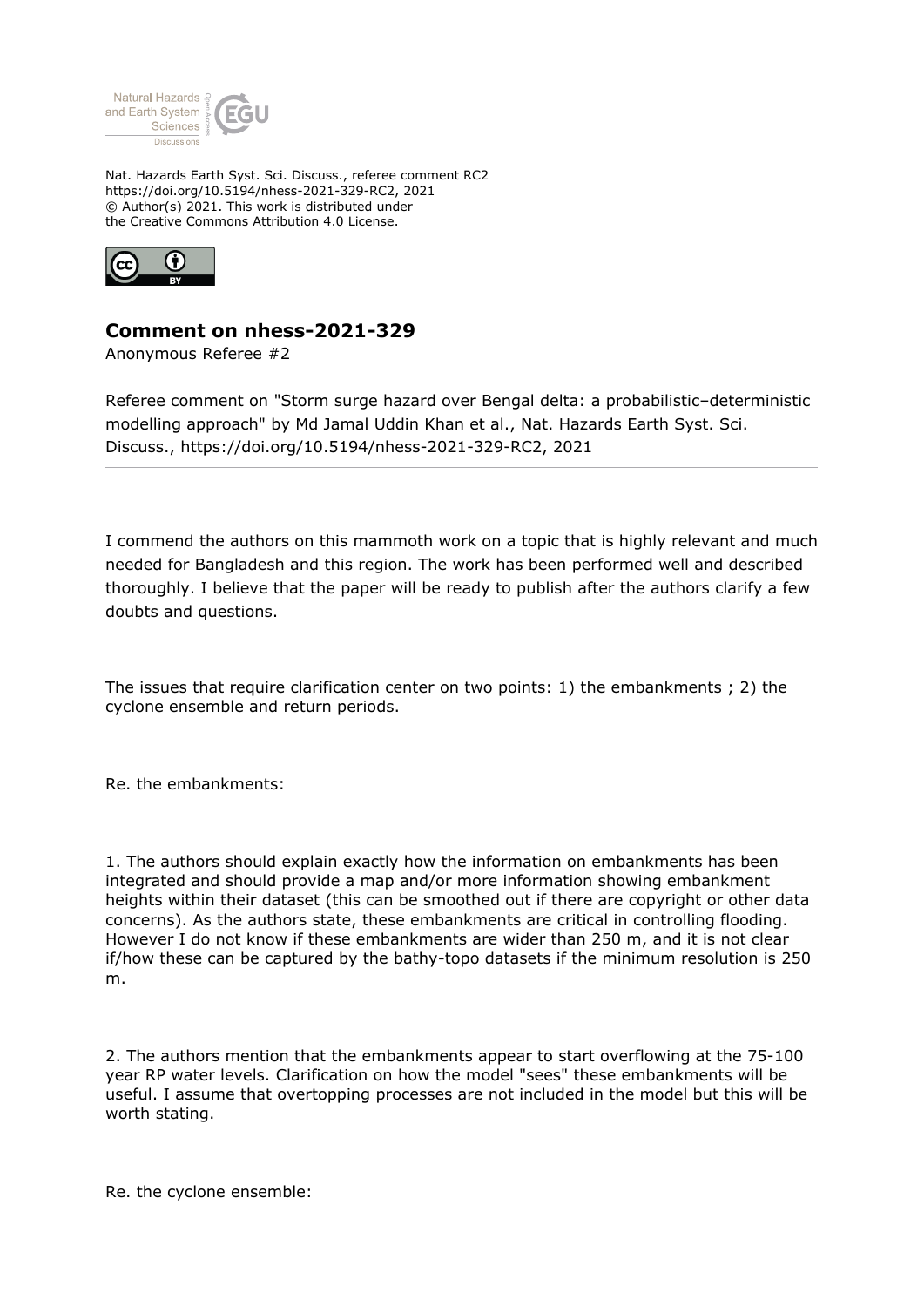

Nat. Hazards Earth Syst. Sci. Discuss., referee comment RC2 https://doi.org/10.5194/nhess-2021-329-RC2, 2021 © Author(s) 2021. This work is distributed under the Creative Commons Attribution 4.0 License.



## **Comment on nhess-2021-329**

Anonymous Referee #2

Referee comment on "Storm surge hazard over Bengal delta: a probabilistic–deterministic modelling approach" by Md Jamal Uddin Khan et al., Nat. Hazards Earth Syst. Sci. Discuss., https://doi.org/10.5194/nhess-2021-329-RC2, 2021

I commend the authors on this mammoth work on a topic that is highly relevant and much needed for Bangladesh and this region. The work has been performed well and described thoroughly. I believe that the paper will be ready to publish after the authors clarify a few doubts and questions.

The issues that require clarification center on two points: 1) the embankments ; 2) the cyclone ensemble and return periods.

Re. the embankments:

1. The authors should explain exactly how the information on embankments has been integrated and should provide a map and/or more information showing embankment heights within their dataset (this can be smoothed out if there are copyright or other data concerns). As the authors state, these embankments are critical in controlling flooding. However I do not know if these embankments are wider than 250 m, and it is not clear if/how these can be captured by the bathy-topo datasets if the minimum resolution is 250 m.

2. The authors mention that the embankments appear to start overflowing at the 75-100 year RP water levels. Clarification on how the model "sees" these embankments will be useful. I assume that overtopping processes are not included in the model but this will be worth stating.

Re. the cyclone ensemble: